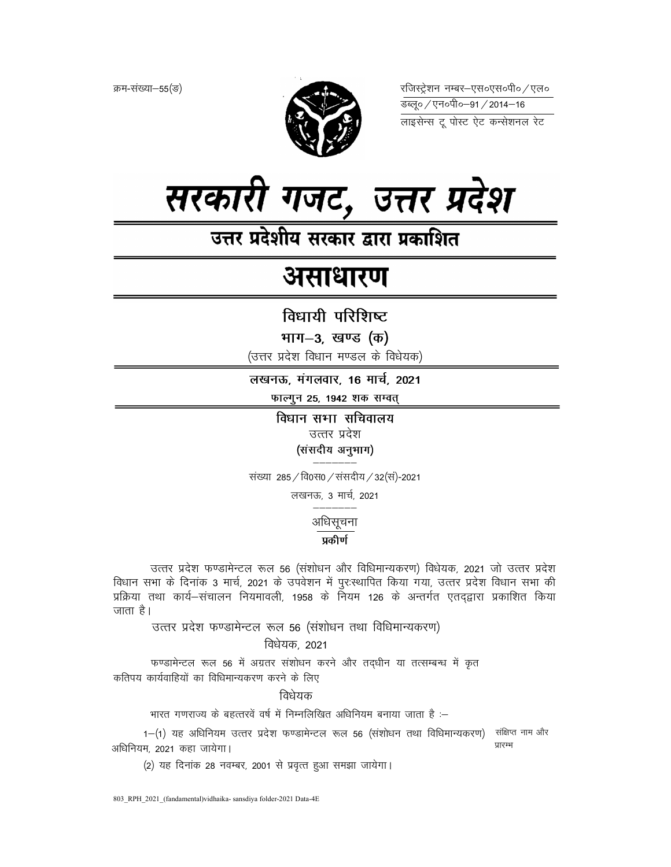क्रम-संख्या-55(ङ)



रजिस्ट्रेशन नम्बर–एस०एस०पी० ⁄ एल० 



उत्तर प्रदेशीय सरकार द्वारा प्रकाशित

# असाधारण

विधायी परिशिष्ट

भाग-3, खण्ड (क)

(उत्तर प्रदेश विधान मण्डल के विधेयक)

लखनऊ, मंगलवार, 16 मार्च, 2021

फाल्गुन 25, 1942 शक सम्वत्

विधान सभा सचिवालय उत्तर प्रदेश (संसदीय अनुभाग)

संख्या 285 / वि0स0 / संसदीय / 32(सं)-2021

लखनऊ, 3 मार्च, 2021

अधिसूचना

# प्रकीर्ण

उत्तर प्रदेश फण्डामेन्टल रूल 56 (संशोधन और विधिमान्यकरण) विधेयक, 2021 जो उत्तर प्रदेश विधान सभा के दिनांक 3 मार्च, 2021 के उपवेशन में पुरःस्थापित किया गया, उत्तर प्रदेश विधान सभा की प्रक्रिया तथा कार्य–संचालन नियमावली, 1958 के नियम 126 के अन्तर्गत एतदद्वारा प्रकाशित किया जाता है।

उत्तर प्रदेश फण्डामेन्टल रूल 56 (संशोधन तथा विधिमान्यकरण)

विधेयक, 2021

फण्डामेन्टल रूल 56 में अग्रतर संशोधन करने और तद्धीन या तत्सम्बन्ध में कृत कतिपय कार्यवाहियों का विधिमान्यकरण करने के लिए

विधेयक

भारत गणराज्य के बहत्तरवें वर्ष में निम्नलिखित अधिनियम बनाया जाता है :-

1-(1) यह अधिनियम उत्तर प्रदेश फण्डामेन्टल रूल 56 (संशोधन तथा विधिमान्यकरण) संक्षिप्त नाम और पारम्भ अधिनियम. 2021 कहा जायेगा।

(2) यह दिनांक 28 नवम्बर, 2001 से प्रवृत्त हुआ समझा जायेगा।

803 RPH 2021 (fandamental)vidhaika-sansdiya folder-2021 Data-4E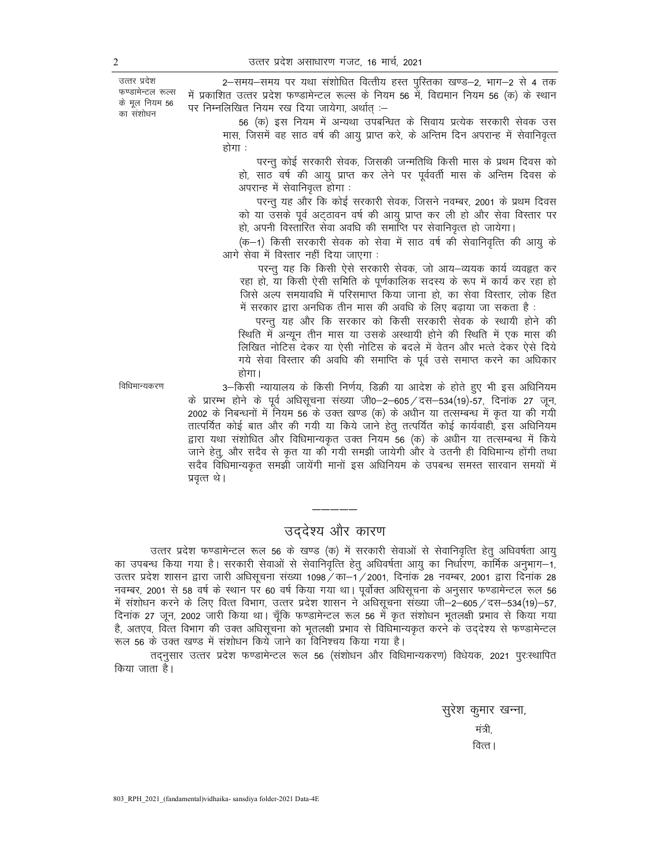उत्तर प्रदेश फण्डामेन्टल रूल्स के मूल नियम 56 का संशोधन

2-समय-समय पर यथा संशोधित वित्तीय हस्त पुस्तिका खण्ड-2, भाग-2 से 4 तक में प्रकाशित उत्तर प्रदेश फण्डामेन्टल रूल्स के नियम 56 में, विद्यमान नियम 56 (क) के स्थान पर निम्नलिखित नियम रख दिया जायेगा, अर्थात :-

56 (क) इस नियम में अन्यथा उपबन्धित के सिवाय प्रत्येक सरकारी सेवक उस मास, जिसमें वह साठ वर्ष की आयु प्राप्त करे, के अन्तिम दिन अपरान्ह में सेवानिवृत्त होगा :

परन्तू कोई सरकारी सेवक, जिसकी जन्मतिथि किसी मास के प्रथम दिवस को हो, साठ वर्ष की आयु प्राप्त कर लेने पर पूर्ववर्ती मास के अन्तिम दिवस के अपरान्ह में सेवानिवृत्त होगा:

परन्तु यह और कि कोई सरकारी सेवक, जिसने नवम्बर, 2001 के प्रथम दिवस को या उसके पूर्व अट्ठावन वर्ष की आयु प्राप्त कर ली हो और सेवा विस्तार पर हो, अपनी विस्तारित सेवा अवधि की समाप्ति पर सेवानिवृत्त हो जायेगा।

(क–1) किसी सरकारी सेवक को सेवा में साठ वर्ष की सेवानिवृत्ति की आयु के आगे सेवा में विस्तार नहीं दिया जाएगा :

परन्तु यह कि किसी ऐसे सरकारी सेवक, जो आय-व्ययक कार्य व्यवहृत कर रहा हो, या किसी ऐसी समिति के पूर्णकालिक सदस्य के रूप में कार्य कर रहा हो जिसे अल्प समयावधि में परिसमाप्त किया जाना हो, का सेवा विस्तार, लोक हित में सरकार द्वारा अनधिक तीन मास की अवधि के लिए बढ़ाया जा सकता है:

परन्तु यह और कि सरकार को किसी सरकारी सेवक के स्थायी होने की स्थिति में अन्यून तीन मास या उसके अस्थायी होने की स्थिति में एक मास की लिखित नोटिस देकर या ऐसी नोटिस के बदले में वेतन और भत्ते देकर ऐसे दिये गये सेवा विस्तार की अवधि की समाप्ति के पूर्व उसे समाप्त करने का अधिकार होगा।

विधिमान्यकरण

3–किसी न्यायालय के किसी निर्णय, डिक्री या आदेश के होते हुए भी इस अधिनियम के प्रारम्भ होने के पूर्व अधिसूचना संख्या जी0-2-605 / दस-534(19)-57, दिनांक 27 जून, 2002 के निबन्धनों में नियम 56 के उक्त खण्ड (क) के अधीन या तत्सम्बन्ध में कृत या की गयी तात्पर्यित कोई बात और की गयी या किये जाने हेतु तत्पर्यित कोई कार्यवाही, इस अधिनियम द्वारा यथा संशोधित और विधिमान्यकृत उक्त नियम 56 (क) के अधीन या तत्सम्बन्ध में किये जाने हेतू, और सदैव से कृत या की गयी समझी जायेगी और वे उतनी ही विधिमान्य होंगी तथा सदैव विधिमान्यकृत समझी जायेंगी मानों इस अधिनियम के उपबन्ध समस्त सारवान समयों में प्रवृत्त थे।

# उददेश्य और कारण

उत्तर प्रदेश फण्डामेन्टल रूल 56 के खण्ड (क) में सरकारी सेवाओं से सेवानिवृत्ति हेतू अधिवर्षता आयू का उपबन्ध किया गया है। सरकारी सेवाओं से सेवानिवृत्ति हेतू अधिवर्षता आयु का निर्धारण, कार्मिक अनुभाग–1, उत्तर प्रदेश शासन द्वारा जारी अधिसूचना संख्या 1098 / का–1 / 2001, दिनांक 28 नवम्बर, 2001 द्वारा दिनांक 28 नवम्बर, 2001 से 58 वर्ष के स्थान पर 60 वर्ष किया गया था। पूर्वोक्त अधिसूचना के अनुसार फण्डामेन्टल रूल 56 में संशोधन करने के लिए वित्त विभाग, उत्तर प्रदेश शासन ने अधिसूचना संख्या जी–2–605 / दस–534(19)–57, दिनांक 27 जून, 2002 जारी किया था। चूँकि फण्डामेन्टल रूल 56 में कृत संशोधन भूतलक्षी प्रभाव से किया गया है, अतएव, वित्त विभाग की उक्त अधिसूचना को भूतलक्षी प्रभाव से विधिमान्यकृत करने के उददेश्य से फण्डामेन्टल रूल 56 के उक्त खण्ड में संशोधन किये जाने का विनिश्चय किया गया है।

तदनुसार उत्तर प्रदेश फण्डामेन्टल रूल 56 (संशोधन और विधिमान्यकरण) विधेयक, 2021 पुरःस्थापित किया जाता है।

> सुरेश कुमार खन्ना, मंत्री. वित्त।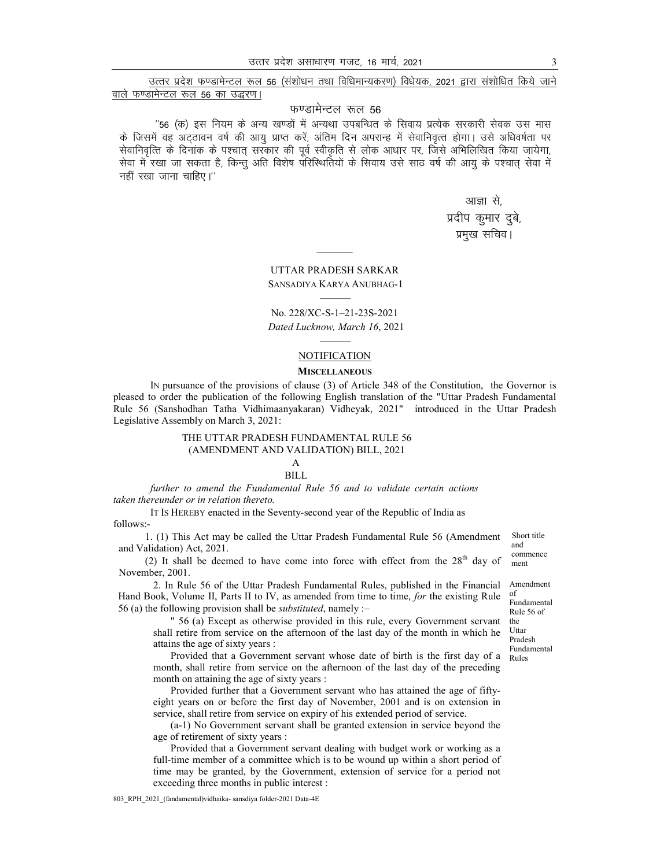उत्तर प्रदेश फण्डामेन्टल रूल 56 (संशोधन तथा विधिमान्यकरण) विधेयक, 2021 द्वारा संशोधित किये जाने वाले फण्डामेन्टल रूल 56 का उद्धरण।

#### फण्डामेन्टल रूल 56

''56 (क) इस नियम के अन्य खण्डों में अन्यथा उपबन्धित के सिवाय प्रत्येक सरकारी सेवक उस मास के जिसमें वह अटठावन वर्ष की आयु प्राप्त करें, अंतिम दिन अपरान्ह में सेवानिवृत्त होगा। उसे अधिवर्षता पर सेवानिवृत्ति के दिनांक के पश्चात् सरकार की पूर्व स्वीकृति से लोक आधार पर, जिसे अभिलिखित किया जायेगा, सेवा में रखा जा सकता है, किन्तु अति विशेष परिस्थितियों के सिवाय उसे साठ वर्ष की आयु के पश्चात् सेवा में नहीं रखा जाना चाहिए।"

आज्ञा से

## प्रदीप कुमार दुबे, प्रमुख सचिव।

# **UTTAR PRADESH SARKAR**

#### SANSADIYA KARYA ANUBHAG-1

### No. 228/XC-S-1-21-23S-2021 Dated Lucknow, March 16, 2021

#### **NOTIFICATION**

#### **MISCELLANEOUS**

IN pursuance of the provisions of clause (3) of Article 348 of the Constitution, the Governor is pleased to order the publication of the following English translation of the "Uttar Pradesh Fundamental Rule 56 (Sanshodhan Tatha Vidhimaanyakaran) Vidheyak, 2021" introduced in the Uttar Pradesh Legislative Assembly on March 3, 2021:

#### THE UTTAR PRADESH FUNDAMENTAL RULE 56 (AMENDMENT AND VALIDATION) BILL, 2021

# $\overline{A}$

#### **BILL**

further to amend the Fundamental Rule 56 and to validate certain actions taken thereunder or in relation thereto.

IT Is HEREBY enacted in the Seventy-second year of the Republic of India as follows:-

1. (1) This Act may be called the Uttar Pradesh Fundamental Rule 56 (Amendment and and Validation) Act, 2021.

(2) It shall be deemed to have come into force with effect from the  $28<sup>th</sup>$  day of November, 2001.

2. In Rule 56 of the Uttar Pradesh Fundamental Rules, published in the Financial of Hand Book, Volume II, Parts II to IV, as amended from time to time, for the existing Rule 56 (a) the following provision shall be *substituted*, namely :-

" 56 (a) Except as otherwise provided in this rule, every Government servant shall retire from service on the afternoon of the last day of the month in which he attains the age of sixty years :

Provided that a Government servant whose date of birth is the first day of a month, shall retire from service on the afternoon of the last day of the preceding month on attaining the age of sixty years :

Provided further that a Government servant who has attained the age of fiftyeight years on or before the first day of November, 2001 and is on extension in service, shall retire from service on expiry of his extended period of service.

(a-1) No Government servant shall be granted extension in service beyond the age of retirement of sixty years :

Provided that a Government servant dealing with budget work or working as a full-time member of a committee which is to be wound up within a short period of time may be granted, by the Government, extension of service for a period not exceeding three months in public interest :

Short title commence ment

Amendment

Fundamental Rule 56 of the Uttar Pradesh **Fundamental** Rules